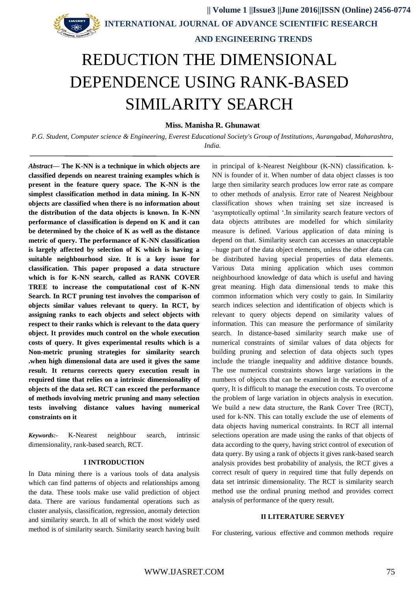**INTERNATIONAL JOURNAL OF ADVANCE SCIENTIFIC RESEARCH** 

# **AND ENGINEERING TRENDS**

# REDUCTION THE DIMENSIONAL DEPENDENCE USING RANK-BASED SIMILARITY SEARCH

# **Miss. Manisha R. Ghunawat**

*P.G. Student, Computer science & Engineering, Everest Educational Society's Group of Institutions, Aurangabad, Maharashtra, India.*

*Abstract***— The K-NN is a technique in which objects are classified depends on nearest training examples which is present in the feature query space. The K-NN is the simplest classification method in data mining. In K-NN objects are classified when there is no information about the distribution of the data objects is known. In K-NN performance of classification is depend on K and it can be determined by the choice of K as well as the distance metric of query. The performance of K-NN classification is largely affected by selection of K which is having a suitable neighbourhood size. It is a key issue for classification. This paper proposed a data structure which is for K-NN search, called as RANK COVER TREE to increase the computational cost of K-NN Search. In RCT pruning test involves the comparison of objects similar values relevant to query. In RCT, by assigning ranks to each objects and select objects with respect to their ranks which is relevant to the data query object. It provides much control on the whole execution costs of query. It gives experimental results which is a Non-metric pruning strategies for similarity search .when high dimensional data are used it gives the same result. It returns corrects query execution result in required time that relies on a intrinsic dimensionality of objects of the data set. RCT can exceed the performance of methods involving metric pruning and many selection tests involving distance values having numerical constraints on it** 

*Keywords:-* K-Nearest neighbour search, intrinsic dimensionality, rank-based search, RCT.

#### **I INTRODUCTION**

In Data mining there is a various tools of data analysis which can find patterns of objects and relationships among the data. These tools make use valid prediction of object data. There are various fundamental operations such as cluster analysis, classification, regression, anomaly detection and similarity search. In all of which the most widely used method is of similarity search. Similarity search having built

in principal of k-Nearest Neighbour (K-NN) classification. k-NN is founder of it. When number of data object classes is too large then similarity search produces low error rate as compare to other methods of analysis. Error rate of Nearest Neighbour classification shows when training set size increased is 'asymptotically optimal '.In similarity search feature vectors of data objects attributes are modelled for which similarity measure is defined. Various application of data mining is depend on that. Similarity search can accesses an unacceptable –huge part of the data object elements, unless the other data can be distributed having special properties of data elements. Various Data mining application which uses common neighbourhood knowledge of data which is useful and having great meaning. High data dimensional tends to make this common information which very costly to gain. In Similarity search indices selection and identification of objects which is relevant to query objects depend on similarity values of information. This can measure the performance of similarity search. In distance-based similarity search make use of numerical constraints of similar values of data objects for building pruning and selection of data objects such types include the triangle inequality and additive distance bounds. The use numerical constraints shows large variations in the numbers of objects that can be examined in the execution of a query, It is difficult to manage the execution costs. To overcome the problem of large variation in objects analysis in execution. We build a new data structure, the Rank Cover Tree (RCT), used for k-NN. This can totally exclude the use of elements of data objects having numerical constraints. In RCT all internal selections operation are made using the ranks of that objects of data according to the query, having strict control of execution of data query. By using a rank of objects it gives rank-based search analysis provides best probability of analysis, the RCT gives a correct result of query in required time that fully depends on data set intrinsic dimensionality. The RCT is similarity search method use the ordinal pruning method and provides correct analysis of performance of the query result.

#### **II LITERATURE SERVEY**

For clustering, various effective and common methods require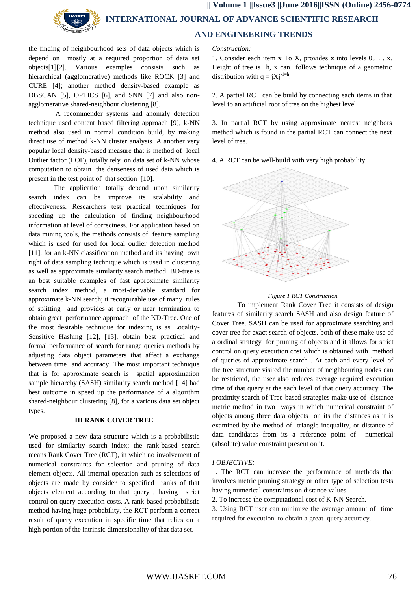# **|| Volume 1 ||Issue3 ||June 2016||ISSN (Online) 2456-0774 INTERNATIONAL JOURNAL OF ADVANCE SCIENTIFIC RESEARCH AND ENGINEERING TRENDS**

the finding of neighbourhood sets of data objects which is depend on mostly at a required proportion of data set objects[1][2]. Various examples consists such as hierarchical (agglomerative) methods like ROCK [3] and CURE [4]; another method density-based example as DBSCAN [5], OPTICS [6], and SNN [7] and also nonagglomerative shared-neighbour clustering [8].

A recommender systems and anomaly detection technique used content based filtering approach [9], k-NN method also used in normal condition build, by making direct use of method k-NN cluster analysis. A another very popular local density-based measure that is method of local Outlier factor (LOF), totally rely on data set of k-NN whose computation to obtain the denseness of used data which is present in the test point of that section [10].

The application totally depend upon similarity search index can be improve its scalability and effectiveness. Researchers test practical techniques for speeding up the calculation of finding neighbourhood information at level of correctness. For application based on data mining tools, the methods consists of feature sampling which is used for used for local outlier detection method [11], for an k-NN classification method and its having own right of data sampling technique which is used in clustering as well as approximate similarity search method. BD-tree is an best suitable examples of fast approximate similarity search index method, a most-derivable standard for approximate k-NN search; it recognizable use of many rules of splitting and provides at early or near termination to obtain great performance approach of the KD-Tree. One of the most desirable technique for indexing is as Locality-Sensitive Hashing [12], [13], obtain best practical and formal performance of search for range queries methods by adjusting data object parameters that affect a exchange between time and accuracy. The most important technique that is for approximate search is spatial approximation sample hierarchy (SASH) similarity search method [14] had best outcome in speed up the performance of a algorithm shared-neighbour clustering [8], for a various data set object types.

#### **III RANK COVER TREE**

We proposed a new data structure which is a probabilistic used for similarity search index; the rank-based search means Rank Cover Tree (RCT), in which no involvement of numerical constraints for selection and pruning of data element objects. All internal operation such as selections of objects are made by consider to specified ranks of that objects element according to that query , having strict control on query execution costs. A rank-based probabilistic method having huge probability, the RCT perform a correct result of query execution in specific time that relies on a high portion of the intrinsic dimensionality of that data set.

*Construction:*

1. Consider each item **x** To X, provides **x** into levels 0,. . . x. Height of tree is h, x can follows technique of a geometric distribution with  $q = jXj^{-1=h}$ .

2. A partial RCT can be build by connecting each items in that level to an artificial root of tree on the highest level.

3. In partial RCT by using approximate nearest neighbors method which is found in the partial RCT can connect the next level of tree.

4. A RCT can be well-build with very high probability.



### *Figure 1 RCT Construction*

To implement Rank Cover Tree it consists of design features of similarity search SASH and also design feature of Cover Tree. SASH can be used for approximate searching and cover tree for exact search of objects. both of these make use of a ordinal strategy for pruning of objects and it allows for strict control on query execution cost which is obtained with method of queries of approximate search . At each and every level of the tree structure visited the number of neighbouring nodes can be restricted, the user also reduces average required execution time of that query at the each level of that query accuracy. The proximity search of Tree-based strategies make use of distance metric method in two ways in which numerical constraint of objects among three data objects on its the distances as it is examined by the method of triangle inequality, or distance of data candidates from its a reference point of numerical (absolute) value constraint present on it.

#### *I OBJECTIVE:*

1. The RCT can increase the performance of methods that involves metric pruning strategy or other type of selection tests having numerical constraints on distance values.

2. To increase the computational cost of K-NN Search.

3. Using RCT user can minimize the average amount of time required for execution .to obtain a great query accuracy.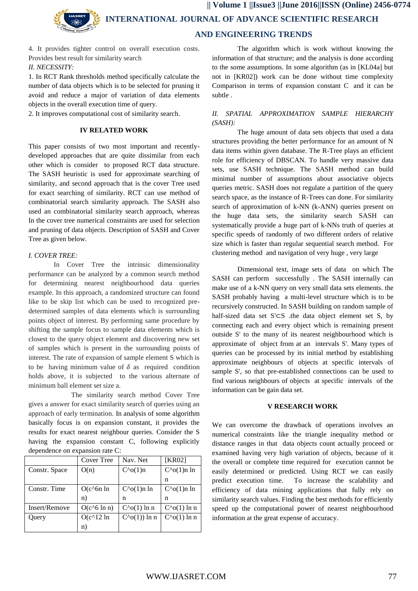**|| Volume 1 ||Issue3 ||June 2016||ISSN (Online) 2456-0774 INTERNATIONAL JOURNAL OF ADVANCE SCIENTIFIC RESEARCH AND ENGINEERING TRENDS**

4. It provides tighter control on overall execution costs. Provides best result for similarity search *II. NECESSITY:*

1. In RCT Rank thresholds method specifically calculate the number of data objects which is to be selected for pruning it avoid and reduce a major of variation of data elements objects in the overall execution time of query.

2. It improves computational cost of similarity search.

## **IV RELATED WORK**

This paper consists of two most important and recentlydeveloped approaches that are quite dissimilar from each other which is consider to proposed RCT data structure. The SASH heuristic is used for approximate searching of similarity, and second approach that is the cover Tree used for exact searching of similarity. RCT can use method of combinatorial search similarity approach. The SASH also used an combinatorial similarity search approach, whereas In the cover tree numerical constraints are used for selection and pruning of data objects. Description of SASH and Cover Tree as given below.

# *I. COVER TREE:*

In Cover Tree the intrinsic dimensionality performance can be analyzed by a common search method for determining nearest neighbourhood data queries example. In this approach, a randomized structure can found like to be skip list which can be used to recognized predetermined samples of data elements which is surrounding points object of interest. By performing same procedure by shifting the sample focus to sample data elements which is closest to the query object element and discovering new set of samples which is present in the surrounding points of interest. The rate of expansion of sample element S which is to be having minimum value of  $\delta$  as required condition holds above, it is subjected to the various alternate of minimum ball element set size a.

 The similarity search method Cover Tree gives a answer for exact similarity search of queries using an approach of early termination. In analysis of some algorithm basically focus is on expansion constant, it provides the results for exact nearest neighbour queries. Consider the S having the expansion constant C, following explicitly dependence on expansion rate C:

|               | Cover Tree           | Nav. Net              | [KR02]                |
|---------------|----------------------|-----------------------|-----------------------|
| Constr. Space | O(n)                 | $C^{\wedge}o(1)$ n    | $C^{\wedge}o(1)$ n ln |
|               |                      |                       | n                     |
| Constr. Time  | $O(c^6n \ln$         | $C^{\wedge}o(1)$ n ln | $C^{\wedge}o(1)$ n ln |
|               | n)                   | n                     | n                     |
| Insert/Remove | $O(c^{6} \ln n)$     | $C^{\wedge}o(1)$ ln n | $C^{\wedge}o(1)$ ln n |
| Query         | $O(c^{\wedge}12 \ln$ | $C^{\wedge}o(1)$ ln n | $C^{\wedge}o(1)$ ln n |
|               | n)                   |                       |                       |

The algorithm which is work without knowing the information of that structure; and the analysis is done according to the some assumptions. In some algorithm (as in [KL04a] but not in [KR02]) work can be done without time complexity Comparison in terms of expansion constant C and it can be subtle .

# *II. SPATIAL APPROXIMATION SAMPLE HIERARCHY (SASH):*

The huge amount of data sets objects that used a data structures providing the better performance for an amount of N data items within given database. The R-Tree plays an efficient role for efficiency of DBSCAN. To handle very massive data sets, use SASH technique. The SASH method can build minimal number of assumptions about associative objects queries metric. SASH does not regulate a partition of the query search space, as the instance of R-Trees can done. For similarity search of approximation of k-NN (k-ANN) queries present on the huge data sets, the similarity search SASH can systematically provide a huge part of k-NNs truth of queries at specific speeds of randomly of two different orders of relative size which is faster than regular sequential search method. For clustering method and navigation of very huge , very large

Dimensional text, image sets of data on which The SASH can perform successfully . The SASH internally can make use of a k-NN query on very small data sets elements. the SASH probably having a multi-level structure which is to be recursively constructed. In SASH building on random sample of half-sized data set S'⊂S .the data object element set S, by connecting each and every object which is remaining present outside S' to the many of its nearest neighbourhood which is approximate of object from at an intervals S'. Many types of queries can be processed by its initial method by establishing approximate neighbours of objects at specific intervals of sample S', so that pre-established connections can be used to find various neighbours of objects at specific intervals of the information can be gain data set.

# **V RESEARCH WORK**

We can overcome the drawback of operations involves an numerical constraints like the triangle inequality method or distance ranges in that data objects count actually proceed or examined having very high variation of objects, because of it the overall or complete time required for execution cannot be easily determined or predicted. Using RCT we can easily predict execution time. To increase the scalability and efficiency of data mining applications that fully rely on similarity search values. Finding the best methods for efficiently speed up the computational power of nearest neighbourhood information at the great expense of accuracy.